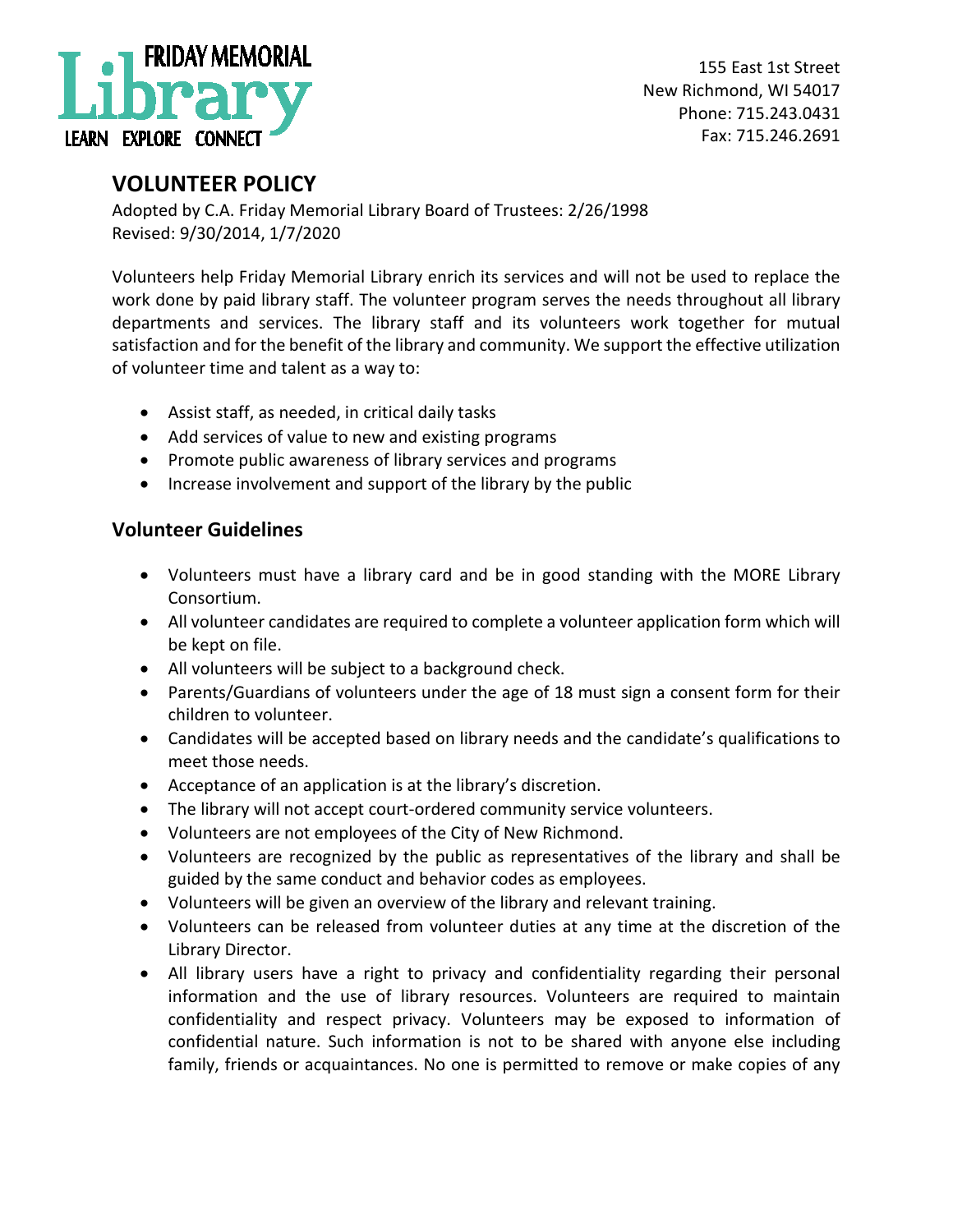

## **VOLUNTEER POLICY**

Adopted by C.A. Friday Memorial Library Board of Trustees: 2/26/1998 Revised: 9/30/2014, 1/7/2020

Volunteers help Friday Memorial Library enrich its services and will not be used to replace the work done by paid library staff. The volunteer program serves the needs throughout all library departments and services. The library staff and its volunteers work together for mutual satisfaction and for the benefit of the library and community. We support the effective utilization of volunteer time and talent as a way to:

- Assist staff, as needed, in critical daily tasks
- Add services of value to new and existing programs
- Promote public awareness of library services and programs
- Increase involvement and support of the library by the public

## **Volunteer Guidelines**

- Volunteers must have a library card and be in good standing with the MORE Library Consortium.
- All volunteer candidates are required to complete a volunteer application form which will be kept on file.
- All volunteers will be subject to a background check.
- Parents/Guardians of volunteers under the age of 18 must sign a consent form for their children to volunteer.
- Candidates will be accepted based on library needs and the candidate's qualifications to meet those needs.
- Acceptance of an application is at the library's discretion.
- The library will not accept court-ordered community service volunteers.
- Volunteers are not employees of the City of New Richmond.
- Volunteers are recognized by the public as representatives of the library and shall be guided by the same conduct and behavior codes as employees.
- Volunteers will be given an overview of the library and relevant training.
- Volunteers can be released from volunteer duties at any time at the discretion of the Library Director.
- All library users have a right to privacy and confidentiality regarding their personal information and the use of library resources. Volunteers are required to maintain confidentiality and respect privacy. Volunteers may be exposed to information of confidential nature. Such information is not to be shared with anyone else including family, friends or acquaintances. No one is permitted to remove or make copies of any